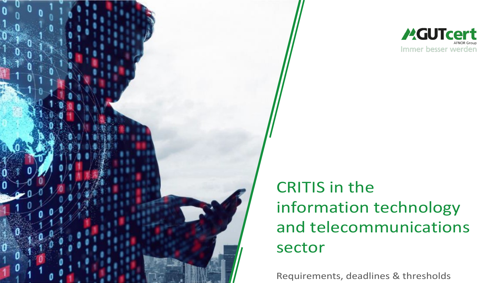

**MGUTcert** Immer besser werden

CRITIS in the information technology and telecommunications sector

Requirements, deadlines & thresholds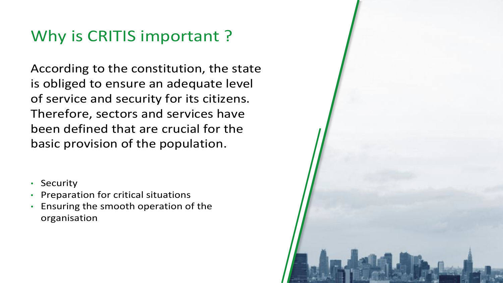# Why is CRITIS important?

According to the constitution, the state is obliged to ensure an adequate level of service and security for its citizens. Therefore, sectors and services have been defined that are crucial for the basic provision of the population.

- Security
- Preparation for critical situations
- Ensuring the smooth operation of the organisation

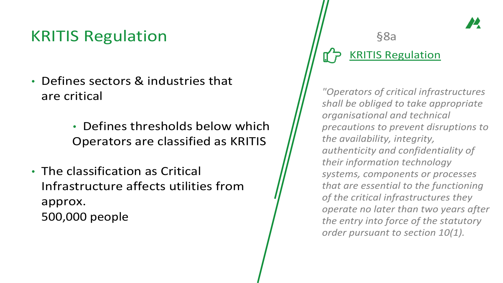## KRITIS Regulation

- Defines sectors & industries that are critical
	- Defines thresholds below which Operators are classified as KRITIS
- The classification as Critical Infrastructure affects utilities from approx. 500,000 people

#### §8a [KRITIS Regulation](https://www.gesetze-im-internet.de/bsi-kritisv/BSI-KritisV.pdf)

*"Operators of critical infrastructures shall be obliged to take appropriate organisational and technical precautions to prevent disruptions to the availability, integrity, authenticity and confidentiality of their information technology systems, components or processes that are essential to the functioning of the critical infrastructures they operate no later than two years after the entry into force of the statutory order pursuant to section 10(1).*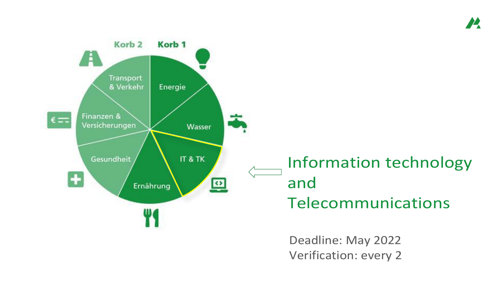

Deadline: May 2022 Verification: every 2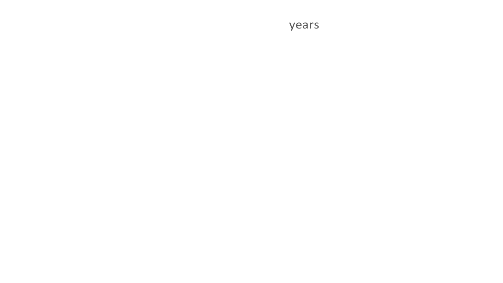years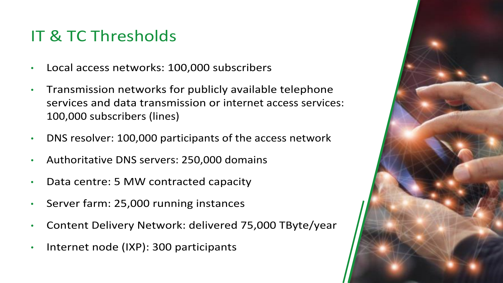# IT & TC Thresholds

- Local access networks: 100,000 subscribers
- Transmission networks for publicly available telephone services and data transmission or internet access services: 100,000 subscribers (lines)
- DNS resolver: 100,000 participants of the access network
- Authoritative DNS servers: 250,000 domains
- Data centre: 5 MW contracted capacity
- Server farm: 25,000 running instances
- Content Delivery Network: delivered 75,000 TByte/year
- Internet node (IXP): 300 participants

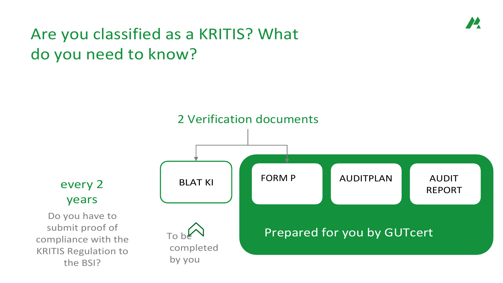# Are you classified as a KRITIS? What do you need to know?

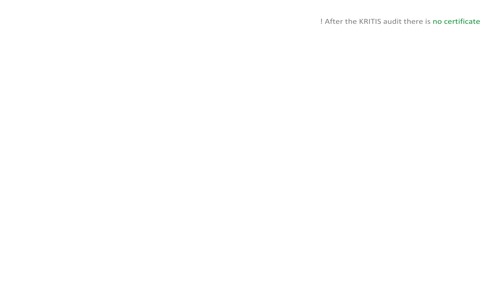! After the KRITIS audit there is no certificate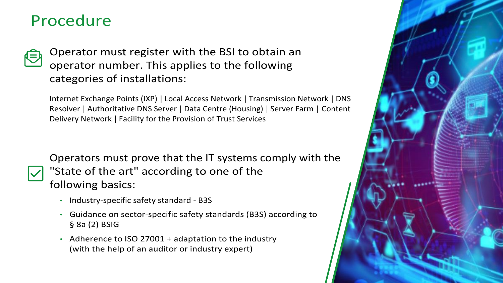### Procedure



Operator must register with the BSI to obtain an operator number. This applies to the following categories of installations:

Internet Exchange Points (IXP) | Local Access Network | Transmission Network | DNS Resolver | Authoritative DNS Server | Data Centre (Housing) | Server Farm | Content Delivery Network | Facility for the Provision of Trust Services

Operators must prove that the IT systems comply with the "State of the art" according to one of the following basics:

- Industry-specific safety standard B3S
- Guidance on sector-specific safety standards (B3S) according to § 8a (2) BSIG
- Adherence to ISO 27001 + adaptation to the industry (with the help of an auditor or industry expert)

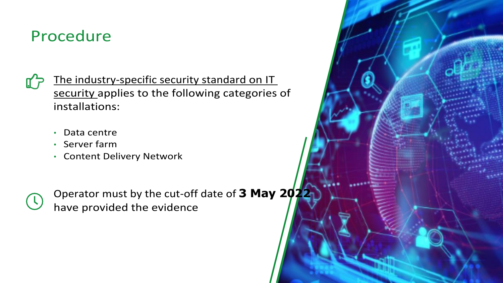### Procedure

The industry-specific security standard on IT [security applies to the](https://www.kritis.bund.de/SharedDocs/Downloads/Kritis/DE/B3S_ITK_V1.05.pdf%3Bjsessionid%3D7CD3BDB662B3A95721C602BF98E40976.1_cid345?__blob=publicationFile) [following](https://www.kritis.bund.de/SharedDocs/Downloads/Kritis/DE/B3S_ITK_V1.05.pdf%3Bjsessionid%3D7CD3BDB662B3A95721C602BF98E40976.1_cid345?__blob=publicationFile) categories of installations:

- Data centre
- Server farm
- Content Delivery Network



Operator must by the cut-off date of **3 May 2022** have provided the evidence

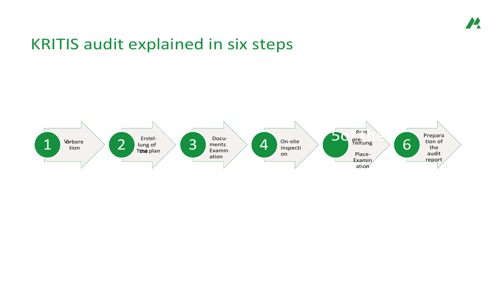#### $\boldsymbol{\mu}$

#### KRITIS audit explained in six steps